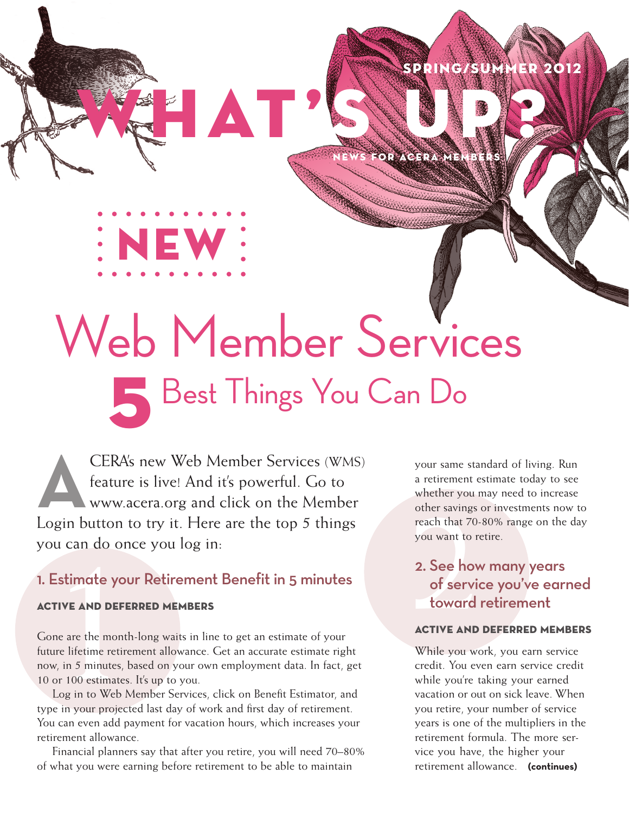## SPRING/SUMM

NEWS FOR ACERA MEMBERS S UP?

# Best Things You Can Do Web Member Services

WHERE TO UNIVERSITY AND ONCE IT AND NOTE OF SURVEY AND A SURVEY AND A SURVEY AND A SURVEY AND NOT A SURVEY AND A SURVEY AND NOT A SURVEY AND DEFERED MEMBERS<br>
Sone are the month-long waits in line to get an estimate of your **A**CERA's new Web Member Services (WMS) feature is live! And it's powerful. Go to www.acera.org and click on the Member Login button to try it. Here are the top 5 things you can do once you log in:

NEW

 $\blacksquare$ 

## 1. Estimate your Retirement Benefit in 5 minutes

#### ACTIVE AND DEFERRED MEMBERS

Gone are the month-long waits in line to get an estimate of your future lifetime retirement allowance. Get an accurate estimate right now, in 5 minutes, based on your own employment data. In fact, get 10 or 100 estimates. It's up to you.

Log in to Web Member Services, click on Benefit Estimator, and type in your projected last day of work and first day of retirement. You can even add payment for vacation hours, which increases your retirement allowance.

Financial planners say that after you retire, you will need 70–80% of what you were earning before retirement to be able to maintain

your same standard of living. Run a retirement estimate today to see whether you may need to increase other savings or investments now to reach that 70-80% range on the day you want to retire.

## 2. See how many years of service you've earned toward retirement

#### ACTIVE AND DEFERRED MEMBERS

**(continues)** retirement allowance. While you work, you earn service credit. You even earn service credit while you're taking your earned vacation or out on sick leave. When you retire, your number of service years is one of the multipliers in the retirement formula. The more service you have, the higher your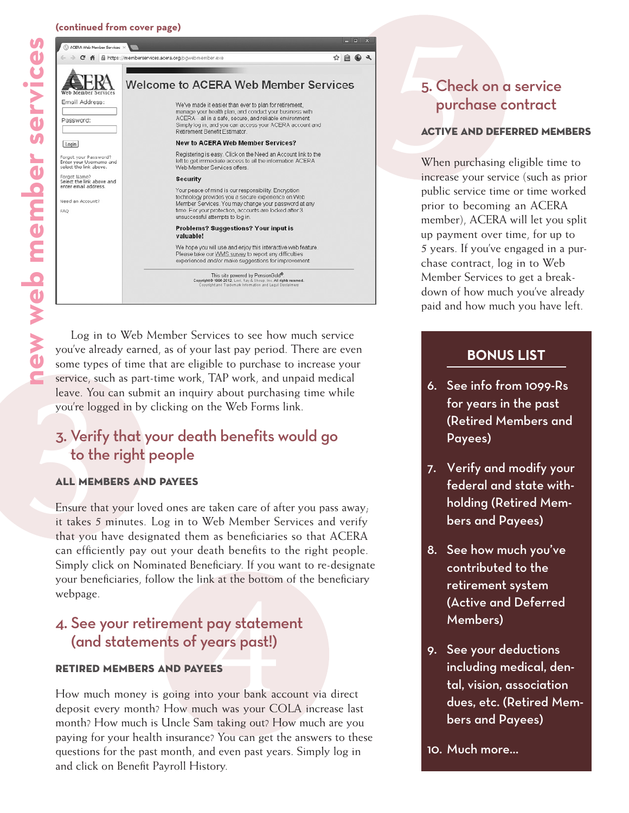#### **(continued from cover page)**



Some type<br>
service, su<br>
leave. You<br>
you're logs<br>
3. Verify<br>
to the<br>
ALL MEM<br>
Ensure tha<br>
it takes 5<br>
that you l Log in to Web Member Services to see how much service you've already earned, as of your last pay period. There are even some types of time that are eligible to purchase to increase your service, such as part-time work, TAP work, and unpaid medical leave. You can submit an inquiry about purchasing time while you're logged in by clicking on the Web Forms link.

## 3. Verify that your death benefits would go to the right people

#### ALL MEMBERS AND PAYEES

Ensure that your loved ones are taken care of after you pass away; it takes 5 minutes. Log in to Web Member Services and verify that you have designated them as beneficiaries so that ACERA can efficiently pay out your death benefits to the right people. Simply click on Nominated Beneficiary. If you want to re-designate your beneficiaries, follow the link at the bottom of the beneficiary webpage.

# k at the bottom<br>**pay statem<br>ears past!)**<br>EES<br>o your bank ac<br>ch was your CO 4. See your retirement pay statement (and statements of years past!)

#### RETIRED MEMBERS AND PAYEES

How much money is going into your bank account via direct deposit every month? How much was your COLA increase last month? How much is Uncle Sam taking out? How much are you paying for your health insurance? You can get the answers to these questions for the past month, and even past years. Simply log in and click on Benefit Payroll History.

# 5. Chec<br>purch<br>ACTIVE AP<br>When pure<br>increase you 5. Check on a service purchase contract

#### ACTIVE AND DEFERRED MEMBERS

When purchasing eligible time to increase your service (such as prior public service time or time worked prior to becoming an ACERA member), ACERA will let you split up payment over time, for up to 5 years. If you've engaged in a purchase contract, log in to Web Member Services to get a breakdown of how much you've already paid and how much you have left.

### **BONUS LIST**

- 6. See info from 1099-Rs for years in the past (Retired Members and Payees)
- 7. Verify and modify your federal and state withholding (Retired Members and Payees)
- 8. See how much you've contributed to the retirement system (Active and Deferred Members)
- 9. See your deductions including medical, dental, vision, association dues, etc. (Retired Members and Payees)

10. Much more…

S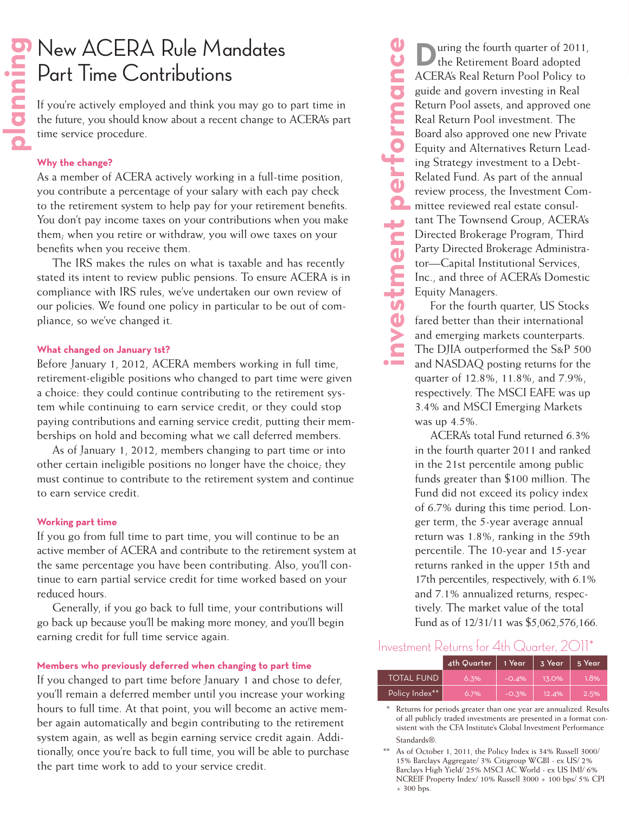# New ACERA Rule Mandates Part Time Contributions

If you're actively employed and think you may go to part time in the future, you should know about a recent change to ACERA's part time service procedure.

#### **Why the change?**

As a member of ACERA actively working in a full-time position, you contribute a percentage of your salary with each pay check to the retirement system to help pay for your retirement benefits. You don't pay income taxes on your contributions when you make them; when you retire or withdraw, you will owe taxes on your benefits when you receive them.

The IRS makes the rules on what is taxable and has recently stated its intent to review public pensions. To ensure ACERA is in compliance with IRS rules, we've undertaken our own review of our policies. We found one policy in particular to be out of com pliance, so we've changed it.

#### **What changed on January 1st?**

Before January 1, 2012, ACERA members working in full time, retirement-eligible positions who changed to part time were given a choice: they could continue contributing to the retirement sys tem while continuing to earn service credit, or they could stop paying contributions and earning service credit, putting their mem berships on hold and becoming what we call deferred members.

As of January 1, 2012, members changing to part time or into other certain ineligible positions no longer have the choice; they must continue to contribute to the retirement system and continue to earn service credit.

#### **Working part time**

If you go from full time to part time, you will continue to be an active member of ACERA and contribute to the retirement system at the same percentage you have been contributing. Also, you'll con tinue to earn partial service credit for time worked based on your reduced hours.

Generally, if you go back to full time, your contributions will go back up because you'll be making more money, and you'll begin earning credit for full time service again.

#### **Members who previously deferred when changing to part time**

If you changed to part time before January 1 and chose to defer, you'll remain a deferred member until you increase your working hours to full time. At that point, you will become an active mem ber again automatically and begin contributing to the retirement system again, as well as begin earning service credit again. Addi tionally, once you're back to full time, you will be able to purchase the part time work to add to your service credit.

**investment performance** uring the fourth quarter of 2011, the Retirement Board adopted ACERA's Real Return Pool Policy to guide and govern investing in Real<br>Return Pool assets, and approved or<br>Real Return Pool investment. The<br>Board also approved one new Privat<br>Equity and Alternatives Return Lea<br>ing Strategy investment to a Debt-<br>Related Fund. Return Pool assets, and approved one Real Return Pool investment. The Board also approved one new Private Equity and Alternatives Return Lead ing Strategy investment to a Debt-Related Fund. As part of the annual review process, the Investment Com mittee reviewed real estate consul tant The Townsend Group, ACERA's Directed Brokerage Program, Third Party Directed Brokerage Administra tor—Capital Institutional Services, Inc., and three of ACERA's Domestic Equity Managers.

For the fourth quarter, US Stocks fared better than their international and emerging markets counterparts. The DJIA outperformed the S&P 500 and NASDAQ posting returns for the quarter of 12.8%, 11.8%, and 7.9%, respectively. The MSCI EAFE was up 3.4% and MSCI Emerging Markets was up 4.5%.

ACERA's total Fund returned 6.3% in the fourth quarter 2011 and ranked in the 21st percentile among public funds greater than \$100 million. The Fund did not exceed its policy index of 6.7% during this time period. Lon ger term, the 5-year average annual return was 1.8%, ranking in the 59th percentile. The 10-year and 15-year returns ranked in the upper 15th and 17th percentiles, respectively, with 6.1% and 7.1% annualized returns, respec tively. The market value of the total Fund as of 12/31/11 was \$5,062,576,166.

#### Investment Returns for 4th Quarter, 2011\*

|                   | 4th Quarter | 1 Year  | 3 Year | 5 Year |
|-------------------|-------------|---------|--------|--------|
| <b>TOTAL FUND</b> | 6.3%        | $-0.4%$ | 13.0%  | 1.8%   |
| Policy Index**    | 6.7%        | $-0.3%$ | 12.4%  | 2.5%   |

\* Returns for periods greater than one year are annualized. Results of all publicly traded investments are presented in a format con sistent with the CFA Institute's Global Investment Performance Standards®.

<sup>\*\*</sup> As of October 1, 2011, the Policy Index is 34% Russell 3000/ 15% Barclays Aggregate/ 3% Citigroup WGBI - ex US/ 2% Barclays High Yield/ 25% MSCI AC World - ex US IMI/ 6% NCREIF Property Index/ 10% Russell 3000 + 100 bps/ 5% CPI + 300 bps.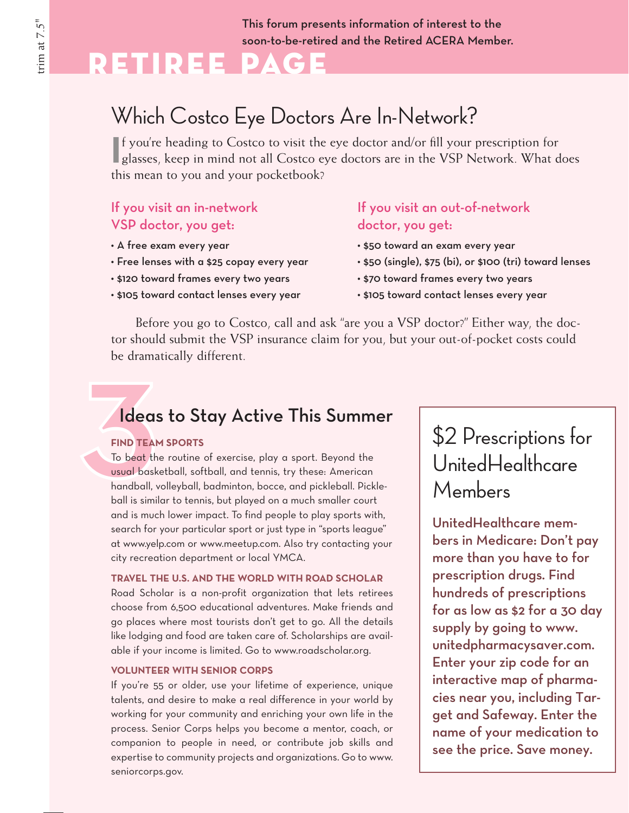This forum presents information of interest to the soon-to-be-retired and the Retired ACERA Member.

# Retiree Page

# Which Costco Eye Doctors Are In-Network?

If you're heading to Costco to visit the eye doctor and/or fill your prescription for glasses, keep in mind not all Costco eye doctors are in the VSP Network. What d glasses, keep in mind not all Costco eye doctors are in the VSP Network. What does this mean to you and your pocketbook?

## If you visit an in-network VSP doctor, you get:

- • A free exam every year
- • Free lenses with a \$25 copay every year
- • \$120 toward frames every two years
- • \$105 toward contact lenses every year

## If you visit an out-of-network doctor, you get:

- • \$50 toward an exam every year
- • \$50 (single), \$75 (bi), or \$100 (tri) toward lenses
- • \$70 toward frames every two years
- • \$105 toward contact lenses every year

Before you go to Costco, call and ask "are you a VSP doctor?" Either way, the doctor should submit the VSP insurance claim for you, but your out-of-pocket costs could be dramatically different.

## Ideas to Stay Active This Summer

#### **FIND TEAM SPORTS**

be drama<br> **Idea**<br>
FIND TEAI<br>
To beat the<br>
usual bask<br>
handball, To beat the routine of exercise, play a sport. Beyond the usual basketball, softball, and tennis, try these: American handball, volleyball, badminton, bocce, and pickleball. Pickleball is similar to tennis, but played on a much smaller court and is much lower impact. To find people to play sports with, search for your particular sport or just type in "sports league" at www.yelp.com or www.meetup.com. Also try contacting your city recreation department or local YMCA.

**TRAVEL THE U.S. AND THE WORLD WITH ROAD SCHOLAR** Road Scholar is a non-profit organization that lets retirees choose from 6,500 educational adventures. Make friends and go places where most tourists don't get to go. All the details like lodging and food are taken care of. Scholarships are available if your income is limited. Go to www.roadscholar.org.

#### **VOLUNTEER WITH SENIOR CORPS**

If you're 55 or older, use your lifetime of experience, unique talents, and desire to make a real difference in your world by working for your community and enriching your own life in the process. Senior Corps helps you become a mentor, coach, or companion to people in need, or contribute job skills and expertise to community projects and organizations. Go to www. seniorcorps.gov.

# \$2 Prescriptions for UnitedHealthcare Members

UnitedHealthcare members in Medicare: Don't pay more than you have to for prescription drugs. Find hundreds of prescriptions for as low as \$2 for a 30 day supply by going to www. unitedpharmacysaver.com. Enter your zip code for an interactive map of pharmacies near you, including Target and Safeway. Enter the name of your medication to see the price. Save money.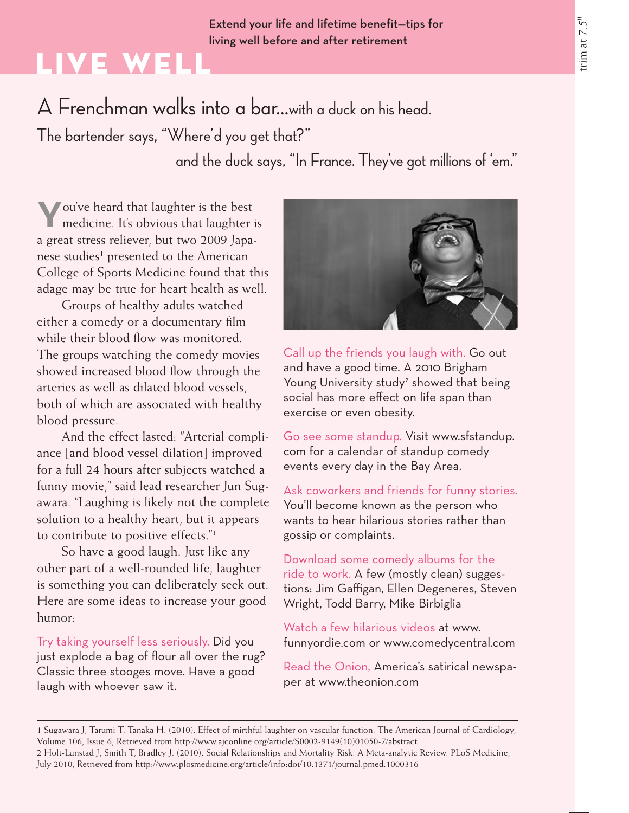### Extend your life and lifetime benefit—tips for living well before and after retirement

# Live Well

A Frenchman walks into a bar…with a duck on his head.

The bartender says, "Where'd you get that?"

and the duck says, "In France. They've got millions of 'em."

**Y**ou've heard that laughter is the best medicine. It's obvious that laughter is a great stress reliever, but two 2009 Japanese studies<sup>1</sup> presented to the American College of Sports Medicine found that this adage may be true for heart health as well.

Groups of healthy adults watched either a comedy or a documentary film while their blood flow was monitored. The groups watching the comedy movies showed increased blood flow through the arteries as well as dilated blood vessels, both of which are associated with healthy blood pressure.

And the effect lasted: "Arterial compliance [and blood vessel dilation] improved for a full 24 hours after subjects watched a funny movie," said lead researcher Jun Sugawara. "Laughing is likely not the complete solution to a healthy heart, but it appears to contribute to positive effects."1

So have a good laugh. Just like any other part of a well-rounded life, laughter is something you can deliberately seek out. Here are some ideas to increase your good humor:

Try taking yourself less seriously. Did you just explode a bag of flour all over the rug? Classic three stooges move. Have a good laugh with whoever saw it.



Call up the friends you laugh with. Go out and have a good time. A 2010 Brigham Young University study<sup>2</sup> showed that being social has more effect on life span than exercise or even obesity.

Go see some standup. Visit www.sfstandup. com for a calendar of standup comedy events every day in the Bay Area.

Ask coworkers and friends for funny stories. You'll become known as the person who wants to hear hilarious stories rather than gossip or complaints.

Download some comedy albums for the ride to work. A few (mostly clean) suggestions: Jim Gaffigan, Ellen Degeneres, Steven Wright, Todd Barry, Mike Birbiglia

Watch a few hilarious videos at www. funnyordie.com or www.comedycentral.com

Read the Onion, America's satirical newspaper at www.theonion.com

1 Sugawara J, Tarumi T, Tanaka H. (2010). Effect of mirthful laughter on vascular function. The American Journal of Cardiology, Volume 106, Issue 6, Retrieved from http://www.ajconline.org/article/S0002-9149(10)01050-7/abstract 2 Holt-Lunstad J, Smith T, Bradley J. (2010). Social Relationships and Mortality Risk: A Meta-analytic Review. PLoS Medicine, July 2010, Retrieved from http://www.plosmedicine.org/article/info:doi/10.1371/journal.pmed.1000316